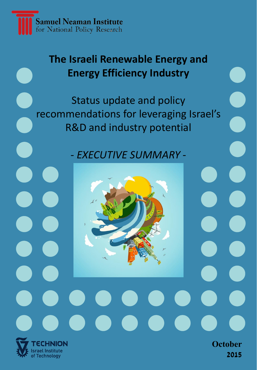

Israel Institute of Technology

## **The Israeli Renewable Energy and Energy Efficiency Industry**

Status update and policy recommendations for leveraging Israel's R&D and industry potential

*- EXECUTIVE SUMMARY -*

**October** 

**2015**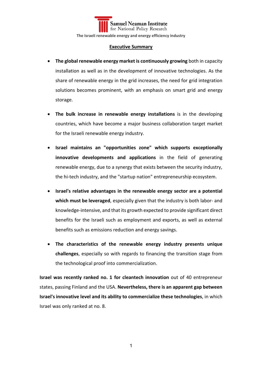**Samuel Neaman Institute** for National Policy Research **The Israeli renewable energy and energy efficiency industry**

## **Executive Summary**

- **The global renewable energy market is continuously growing** both in capacity installation as well as in the development of innovative technologies. As the share of renewable energy in the grid increases, the need for grid integration solutions becomes prominent, with an emphasis on smart grid and energy storage.
- **The bulk increase in renewable energy installations** is in the developing countries, which have become a major business collaboration target market for the Israeli renewable energy industry.
- **Israel maintains an "opportunities zone" which supports exceptionally innovative developments and applications** in the field of generating renewable energy, due to a synergy that exists between the security industry, the hi-tech industry, and the "startup nation" entrepreneurship ecosystem.
- **Israel's relative advantages in the renewable energy sector are a potential which must be leveraged**, especially given that the industry is both labor- and knowledge-intensive, and that its growth expected to provide significant direct benefits for the Israeli such as employment and exports, as well as external benefits such as emissions reduction and energy savings.
- **The characteristics of the renewable energy industry presents unique challenges**, especially so with regards to financing the transition stage from the technological proof into commercialization.

**Israel was recently ranked no. 1 for cleantech innovation** out of 40 entrepreneur states, passing Finland and the USA. **Nevertheless, there is an apparent gap between Israel's innovative level and its ability to commercialize these technologies**, in which Israel was only ranked at no. 8.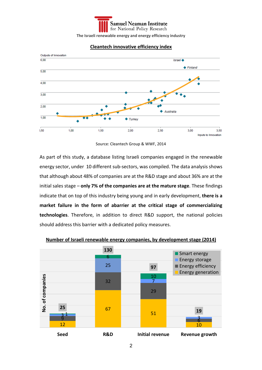



## **Cleantech innovative efficiency index**

As part of this study, a database listing Israeli companies engaged in the renewable energy sector, under 10 different sub-sectors, was compiled. The data analysis shows that although about 48% of companies are at the R&D stage and about 36% are at the initial sales stage – **only 7% of the companies are at the mature stage**. These findings indicate that on top of this industry being young and in early development, **there is a market failure in the form of abarrier at the critical stage of commercializing technologies**. Therefore, in addition to direct R&D support, the national policies should address this barrier with a dedicated policy measures.



**Number of Israeli renewable energy companies, by development stage (2014)**

Source: Cleantech Group & WWF, 2014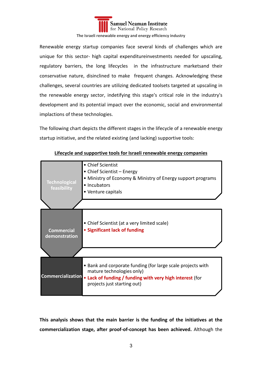

**The Israeli renewable energy and energy efficiency industry**

Renewable energy startup companies face several kinds of challenges which are unique for this sector- high capital expenditureinvestments needed for upscaling, regulatory barriers, the long lifecycles in the infrastructure marketsand their conservative nature, disinclined to make frequent changes. Acknowledging these challenges, several countries are utilizing dedicated toolsets targeted at upscaling in the renewable energy sector, indetifying this stage's critical role in the industry's development and its potential impact over the economic, social and environmental implactions of these technologies.

The following chart depicts the different stages in the lifecycle of a renewable energy startup initiative, and the related existing (and lacking) supportive tools:



**Lifecycle and supportive tools for Israeli renewable energy companies**

**This analysis shows that the main barrier is the funding of the initiatives at the commercialization stage, after proof-of-concept has been achieved.** Although the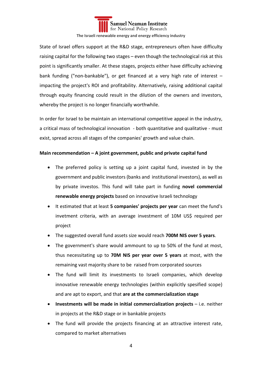

**The Israeli renewable energy and energy efficiency industry**

State of Israel offers support at the R&D stage, entrepreneurs often have difficulty raising capital for the following two stages – even though the technological risk at this point is significantly smaller. At these stages, projects either have difficulty achieving bank funding ("non-bankable"), or get financed at a very high rate of interest – impacting the project's ROI and profitability. Alternatively, raising additional capital through equity financing could result in the dilution of the owners and investors, whereby the project is no longer financially worthwhile.

In order for Israel to be maintain an international competitive appeal in the industry, a critical mass of technological innovation - both quantitative and qualitative - must exist, spread across all stages of the companies' growth and value chain.

## **Main recommendation – A joint government, public and private capital fund**

- The preferred policy is setting up a joint capital fund, invested in by the government and public investors (banks and institutional investors), as well as by private investos. This fund will take part in funding **novel commercial renewable energy projects** based on innovative Israeli technology
- It estimated that at least **5 companies' projects per year** can meet the fund's invetment criteria, with an average investment of 10M US\$ required per project
- The suggested overall fund assets size would reach **700M NIS over 5 years**.
- The government's share would ammount to up to 50% of the fund at most, thus necessitating up to **70M NIS per year over 5 years** at most, with the remaining vast majority share to be raised from corporated sources
- The fund will limit its investments to Israeli companies, which develop innovative renewable energy technologies (within explicitly spesified scope) and are apt to export, and that **are at the commercialization stage**
- **Investments will be made in initial commercialization projects** i.e. neither in projects at the R&D stage or in bankable projects
- The fund will provide the projects financing at an attractive interest rate, compared to market alternatives